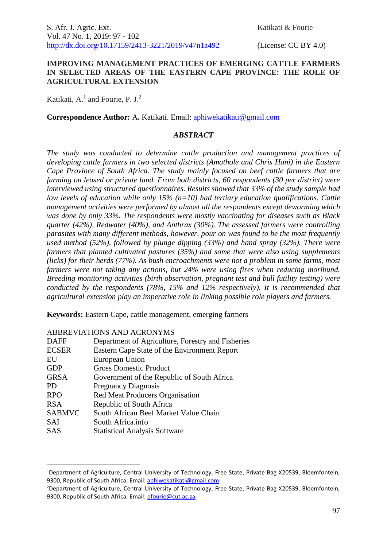#### **IMPROVING MANAGEMENT PRACTICES OF EMERGING CATTLE FARMERS IN SELECTED AREAS OF THE EASTERN CAPE PROVINCE: THE ROLE OF AGRICULTURAL EXTENSION**

Katikati, A.<sup>1</sup> and Fourie, P. J.<sup>2</sup>

**Correspondence Author:** A**.** Katikati. Email: [aphiwekatikati@gmail.com](mailto:aphiwekatikati@gmail.com)

#### *ABSTRACT*

*The study was conducted to determine cattle production and management practices of developing cattle farmers in two selected districts (Amathole and Chris Hani) in the Eastern Cape Province of South Africa. The study mainly focused on beef cattle farmers that are farming on leased or private land. From both districts, 60 respondents (30 per district) were interviewed using structured questionnaires. Results showed that 33% of the study sample had low levels of education while only 15% (n=10) had tertiary education qualifications. Cattle management activities were performed by almost all the respondents except deworming which was done by only 33%. The respondents were mostly vaccinating for diseases such as Black quarter (42%), Redwater (40%), and Anthrax (30%). The assessed farmers were controlling parasites with many different methods, however, pour on was found to be the most frequently used method (52%), followed by plunge dipping (33%) and hand spray (32%). There were farmers that planted cultivated pastures (35%) and some that were also using supplements (licks) for their herds (77%). As bush encroachments were not a problem in some farms, most farmers were not taking any actions, but 24% were using fires when reducing moribund. Breeding monitoring activities (birth observation, pregnant test and bull futility testing) were conducted by the respondents (78%, 15% and 12% respectively). It is recommended that agricultural extension play an imperative role in linking possible role players and farmers.*

**Keywords:** Eastern Cape, cattle management, emerging farmers

|               | ABBREVIATIONS AND ACRON LMS                       |
|---------------|---------------------------------------------------|
| <b>DAFF</b>   | Department of Agriculture, Forestry and Fisheries |
| <b>ECSER</b>  | Eastern Cape State of the Environment Report      |
| EU            | European Union                                    |
| <b>GDP</b>    | <b>Gross Domestic Product</b>                     |
| <b>GRSA</b>   | Government of the Republic of South Africa        |
| PD.           | <b>Pregnancy Diagnosis</b>                        |
| <b>RPO</b>    | <b>Red Meat Producers Organisation</b>            |
| <b>RSA</b>    | Republic of South Africa                          |
| <b>SABMVC</b> | South African Beef Market Value Chain             |
| SAI           | South Africa.info                                 |
| <b>SAS</b>    | <b>Statistical Analysis Software</b>              |

# ABBREVIATIONS AND ACRONYMS

1

<sup>1</sup>Department of Agriculture, Central University of Technology, Free State, Private Bag X20539, Bloemfontein, 9300, Republic of South Africa. Email[: aphiwekatikati@gmail.com](mailto:aphiwekatikati@gmail.com)

<sup>&</sup>lt;sup>2</sup>Department of Agriculture, Central University of Technology, Free State, Private Bag X20539, Bloemfontein, 9300, Republic of South Africa. Email[: pfourie@cut.ac.za](mailto:pfourie@cut.ac.za)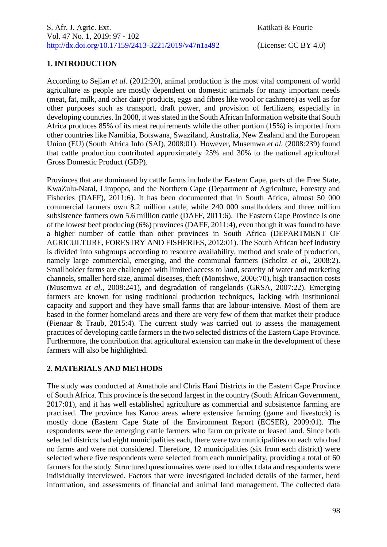# **1. INTRODUCTION**

According to Sejian *et al.* (2012:20), animal production is the most vital component of world agriculture as people are mostly dependent on domestic animals for many important needs (meat, fat, milk, and other dairy products, eggs and fibres like wool or cashmere) as well as for other purposes such as transport, draft power, and provision of fertilizers, especially in developing countries. In 2008, it was stated in the South African Information website that South Africa produces 85% of its meat requirements while the other portion (15%) is imported from other countries like Namibia, Botswana, Swaziland, Australia, New Zealand and the European Union (EU) (South Africa Info (SAI), 2008:01). However, Musemwa *et al.* (2008:239) found that cattle production contributed approximately 25% and 30% to the national agricultural Gross Domestic Product (GDP).

Provinces that are dominated by cattle farms include the Eastern Cape, parts of the Free State, KwaZulu-Natal, Limpopo, and the Northern Cape (Department of Agriculture, Forestry and Fisheries (DAFF), 2011:6). It has been documented that in South Africa, almost 50 000 commercial farmers own 8.2 million cattle, while 240 000 smallholders and three million subsistence farmers own 5.6 million cattle (DAFF, 2011:6). The Eastern Cape Province is one of the lowest beef producing (6%) provinces (DAFF, 2011:4), even though it was found to have a higher number of cattle than other provinces in South Africa (DEPARTMENT OF AGRICULTURE, FORESTRY AND FISHERIES, 2012:01). The South African beef industry is divided into subgroups according to resource availability, method and scale of production, namely large commercial, emerging, and the communal farmers (Scholtz *et al.,* 2008:2). Smallholder farms are challenged with limited access to land, scarcity of water and marketing channels, smaller herd size, animal diseases, theft (Montshwe, 2006:70), high transaction costs (Musemwa *et al*., 2008:241), and degradation of rangelands (GRSA, 2007:22). Emerging farmers are known for using traditional production techniques, lacking with institutional capacity and support and they have small farms that are labour-intensive. Most of them are based in the former homeland areas and there are very few of them that market their produce (Pienaar & Traub, 2015:4). The current study was carried out to assess the management practices of developing cattle farmers in the two selected districts of the Eastern Cape Province. Furthermore, the contribution that agricultural extension can make in the development of these farmers will also be highlighted.

# **2. MATERIALS AND METHODS**

The study was conducted at Amathole and Chris Hani Districts in the Eastern Cape Province of South Africa. This province is the second largest in the country (South African Government, 2017:01), and it has well established agriculture as commercial and subsistence farming are practised. The province has Karoo areas where extensive farming (game and livestock) is mostly done (Eastern Cape State of the Environment Report (ECSER), 2009:01). The respondents were the emerging cattle farmers who farm on private or leased land. Since both selected districts had eight municipalities each, there were two municipalities on each who had no farms and were not considered. Therefore, 12 municipalities (six from each district) were selected where five respondents were selected from each municipality, providing a total of 60 farmers for the study. Structured questionnaires were used to collect data and respondents were individually interviewed. Factors that were investigated included details of the farmer, herd information, and assessments of financial and animal land management. The collected data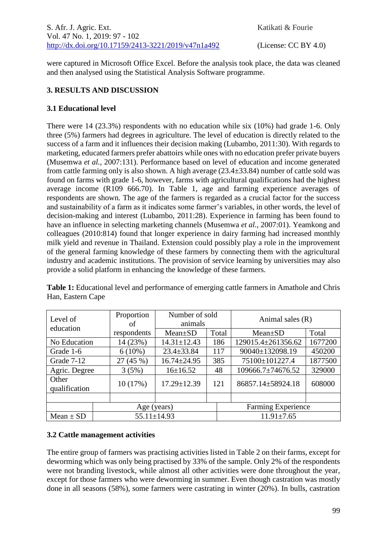were captured in Microsoft Office Excel. Before the analysis took place, the data was cleaned and then analysed using the Statistical Analysis Software programme.

# **3. RESULTS AND DISCUSSION**

## **3.1 Educational level**

There were 14 (23.3%) respondents with no education while six (10%) had grade 1-6. Only three (5%) farmers had degrees in agriculture. The level of education is directly related to the success of a farm and it influences their decision making (Lubambo, 2011:30). With regards to marketing, educated farmers prefer abattoirs while ones with no education prefer private buyers (Musemwa *et al.,* 2007:131). Performance based on level of education and income generated from cattle farming only is also shown. A high average (23.4±33.84) number of cattle sold was found on farms with grade 1-6, however, farms with agricultural qualifications had the highest average income (R109 666.70). In Table 1, age and farming experience averages of respondents are shown. The age of the farmers is regarded as a crucial factor for the success and sustainability of a farm as it indicates some farmer's variables, in other words, the level of decision-making and interest (Lubambo, 2011:28). Experience in farming has been found to have an influence in selecting marketing channels (Musemwa *et al.,* 2007:01). Yeamkong and colleagues (2010:814) found that longer experience in dairy farming had increased monthly milk yield and revenue in Thailand. Extension could possibly play a role in the improvement of the general farming knowledge of these farmers by connecting them with the agricultural industry and academic institutions. The provision of service learning by universities may also provide a solid platform in enhancing the knowledge of these farmers.

| Level of<br>education  | Proportion<br>of | Number of sold<br>animals |       | Animal sales $(R)$          |         |  |  |
|------------------------|------------------|---------------------------|-------|-----------------------------|---------|--|--|
|                        | respondents      | $Mean \pm SD$             | Total | $Mean \pm SD$               | Total   |  |  |
| No Education           | 14 (23%)         | $14.31 \pm 12.43$         | 186   | 129015.4±261356.62          | 1677200 |  |  |
| Grade 1-6              | $6(10\%)$        | $23.4 \pm 33.84$          | 117   | 90040±132098.19<br>450200   |         |  |  |
| Grade 7-12             | 27(45%)          | $16.74 \pm 24.95$         | 385   | 75100±101227.4              | 1877500 |  |  |
| Agric. Degree          | 3(5%)            | $16 \pm 16.52$            | 48    | 329000<br>109666.7±74676.52 |         |  |  |
| Other<br>qualification | 10(17%)          | $17.29 \pm 12.39$         | 121   | 86857.14±58924.18           | 608000  |  |  |
|                        |                  |                           |       |                             |         |  |  |
|                        | Age (years)      |                           |       | <b>Farming Experience</b>   |         |  |  |
| $Mean \pm SD$          |                  | $55.11 \pm 14.93$         |       | $11.91 \pm 7.65$            |         |  |  |

**Table 1:** Educational level and performance of emerging cattle farmers in Amathole and Chris Han, Eastern Cape

### **3.2 Cattle management activities**

The entire group of farmers was practising activities listed in Table 2 on their farms, except for deworming which was only being practised by 33% of the sample. Only 2% of the respondents were not branding livestock, while almost all other activities were done throughout the year, except for those farmers who were deworming in summer. Even though castration was mostly done in all seasons (58%), some farmers were castrating in winter (20%). In bulls, castration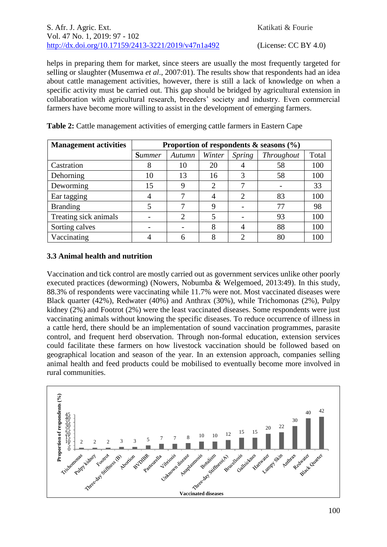helps in preparing them for market, since steers are usually the most frequently targeted for selling or slaughter (Musemwa *et al*., 2007:01). The results show that respondents had an idea about cattle management activities, however, there is still a lack of knowledge on when a specific activity must be carried out. This gap should be bridged by agricultural extension in collaboration with agricultural research, breeders' society and industry. Even commercial farmers have become more willing to assist in the development of emerging farmers.

| <b>Management activities</b> | Proportion of respondents $\&$ seasons $(\%)$ |                             |        |                             |                   |       |
|------------------------------|-----------------------------------------------|-----------------------------|--------|-----------------------------|-------------------|-------|
|                              | <b>Summer</b>                                 | Autumn                      | Winter | Spring                      | <b>Throughout</b> | Total |
| Castration                   | 8                                             | 10                          | 20     |                             | 58                | 100   |
| Dehorning                    | 10                                            | 13                          | 16     | 3                           | 58                | 100   |
| Deworming                    | 15                                            | 9                           | 2      |                             |                   | 33    |
| Ear tagging                  |                                               |                             |        | $\mathcal{D}_{\mathcal{L}}$ | 83                | 100   |
| <b>Branding</b>              |                                               |                             | 9      |                             | 77                | 98    |
| Treating sick animals        |                                               | $\mathcal{D}_{\mathcal{L}}$ | 5      |                             | 93                | 100   |
| Sorting calves               |                                               |                             | 8      |                             | 88                | 100   |
| Vaccinating                  |                                               |                             |        |                             | 80                |       |

**Table 2:** Cattle management activities of emerging cattle farmers in Eastern Cape

# **3.3 Animal health and nutrition**

Vaccination and tick control are mostly carried out as government services unlike other poorly executed practices (deworming) (Nowers, Nobumba & Welgemoed*,* 2013:49). In this study, 88.3% of respondents were vaccinating while 11.7% were not. Most vaccinated diseases were Black quarter (42%), Redwater (40%) and Anthrax (30%), while Trichomonas (2%), Pulpy kidney (2%) and Footrot (2%) were the least vaccinated diseases. Some respondents were just vaccinating animals without knowing the specific diseases. To reduce occurrence of illness in a cattle herd, there should be an implementation of sound vaccination programmes, parasite control, and frequent herd observation. Through non-formal education, extension services could facilitate these farmers on how livestock vaccination should be followed based on geographical location and season of the year. In an extension approach, companies selling animal health and feed products could be mobilised to eventually become more involved in rural communities.

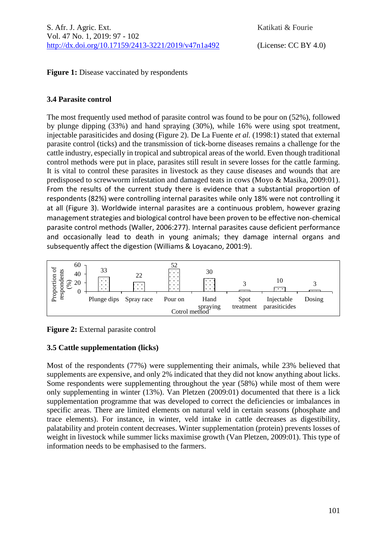**Figure 1:** Disease vaccinated by respondents

## **3.4 Parasite control**

The most frequently used method of parasite control was found to be pour on (52%), followed by plunge dipping (33%) and hand spraying (30%), while 16% were using spot treatment, injectable parasiticides and dosing (Figure 2). De La Fuente *et al.* (1998:1) stated that external parasite control (ticks) and the transmission of tick-borne diseases remains a challenge for the cattle industry, especially in tropical and subtropical areas of the world. Even though traditional control methods were put in place, parasites still result in severe losses for the cattle farming. It is vital to control these parasites in livestock as they cause diseases and wounds that are predisposed to screwworm infestation and damaged teats in cows (Moyo & Masika, 2009:01). From the results of the current study there is evidence that a substantial proportion of respondents (82%) were controlling internal parasites while only 18% were not controlling it at all (Figure 3). Worldwide internal parasites are a continuous problem, however grazing management strategies and biological control have been proven to be effective non-chemical parasite control methods (Waller, 2006:277). Internal parasites cause deficient performance and occasionally lead to death in young animals; they damage internal organs and subsequently affect the digestion (Williams & Loyacano, 2001:9).





# **3.5 Cattle supplementation (licks)**

Most of the respondents (77%) were supplementing their animals, while 23% believed that supplements are expensive, and only 2% indicated that they did not know anything about licks. Some respondents were supplementing throughout the year (58%) while most of them were only supplementing in winter (13%). Van Pletzen (2009:01) documented that there is a lick supplementation programme that was developed to correct the deficiencies or imbalances in specific areas. There are limited elements on natural veld in certain seasons (phosphate and trace elements). For instance, in winter, veld intake in cattle decreases as digestibility, palatability and protein content decreases. Winter supplementation (protein) prevents losses of weight in livestock while summer licks maximise growth (Van Pletzen, 2009:01). This type of information needs to be emphasised to the farmers.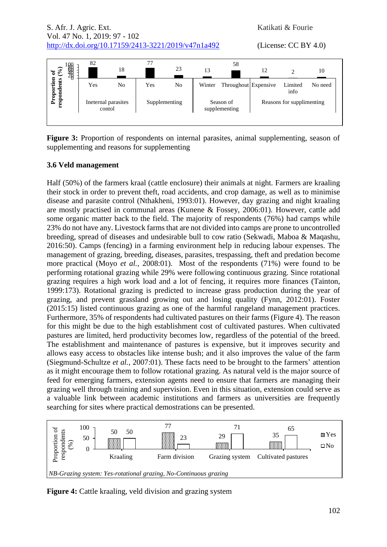S. Afr. J. Agric. Ext. Katikati & Fourie Vol. 47 No. 1, 2019: 97 - 102 [http://dx.doi.org/10.17159/2413-3221/2019/v47n1a492](https://urldefense.proofpoint.com/v2/url?u=http-3A__dx.doi.org_10.17159_2413-2D3221_2019_v47n1a485&d=DwMFAg&c=vTCSeBKl9YZZHWJzz-zQUQ&r=2O1irMqrdumXAIE9PdSLREhTXj5iyPGEywcz8I6zQwI&m=niwmmhX1mCI8GpeJjK8D7j-v09hQgXHBu3LsS3Opojw&s=98o8gy8B6ly02TS5WoJvLScIQPXENi4ceK3R3c9Iu9c&e=) (License: CC BY 4.0)



Figure 3: Proportion of respondents on internal parasites, animal supplementing, season of supplementing and reasons for supplementing

### **3.6 Veld management**

Half (50%) of the farmers kraal (cattle enclosure) their animals at night. Farmers are kraaling their stock in order to prevent theft, road accidents, and crop damage, as well as to minimise disease and parasite control (Nthakheni, 1993:01). However, day grazing and night kraaling are mostly practised in communal areas (Kunene & Fossey, 2006:01). However, cattle add some organic matter back to the field. The majority of respondents (76%) had camps while 23% do not have any. Livestock farms that are not divided into camps are prone to uncontrolled breeding, spread of diseases and undesirable bull to cow ratio (Sekwadi, Maboa & Maqashu, 2016:50). Camps (fencing) in a farming environment help in reducing labour expenses. The management of grazing, breeding, diseases, parasites, trespassing, theft and predation become more practical (Moyo *et al.,* 2008:01). Most of the respondents (71%) were found to be performing rotational grazing while 29% were following continuous grazing. Since rotational grazing requires a high work load and a lot of fencing, it requires more finances (Tainton, 1999:173). Rotational grazing is predicted to increase grass production during the year of grazing, and prevent grassland growing out and losing quality (Fynn, 2012:01). Foster (2015:15) listed continuous grazing as one of the harmful rangeland management practices. Furthermore, 35% of respondents had cultivated pastures on their farms (Figure 4). The reason for this might be due to the high establishment cost of cultivated pastures. When cultivated pastures are limited, herd productivity becomes low, regardless of the potential of the breed. The establishment and maintenance of pastures is expensive, but it improves security and allows easy access to obstacles like intense bush; and it also improves the value of the farm (Siegmund-Schultze *et al.,* 2007:01). These facts need to be brought to the farmers' attention as it might encourage them to follow rotational grazing. As natural veld is the major source of feed for emerging farmers, extension agents need to ensure that farmers are managing their grazing well through training and supervision. Even in this situation, extension could serve as a valuable link between academic institutions and farmers as universities are frequently searching for sites where practical demostrations can be presented.



**Figure 4:** Cattle kraaling, veld division and grazing system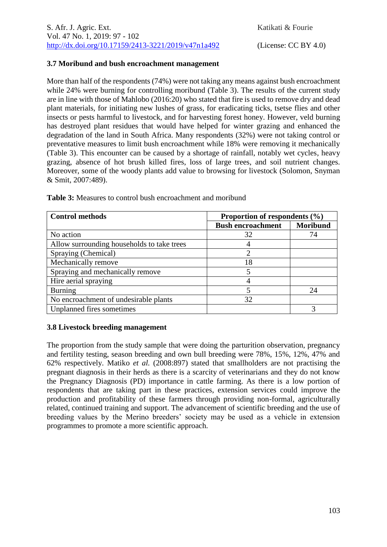### **3.7 Moribund and bush encroachment management**

More than half of the respondents (74%) were not taking any means against bush encroachment while 24% were burning for controlling moribund (Table 3). The results of the current study are in line with those of Mahlobo (2016:20) who stated that fire is used to remove dry and dead plant materials, for initiating new lushes of grass, for eradicating ticks, tsetse flies and other insects or pests harmful to livestock, and for harvesting forest honey. However, veld burning has destroyed plant residues that would have helped for winter grazing and enhanced the degradation of the land in South Africa. Many respondents (32%) were not taking control or preventative measures to limit bush encroachment while 18% were removing it mechanically (Table 3). This encounter can be caused by a shortage of rainfall, notably wet cycles, heavy grazing, absence of hot brush killed fires, loss of large trees, and soil nutrient changes. Moreover, some of the woody plants add value to browsing for livestock (Solomon, Snyman & Smit, 2007:489).

| <b>Control methods</b>                     | Proportion of respondents $(\% )$ |                 |  |  |
|--------------------------------------------|-----------------------------------|-----------------|--|--|
|                                            | <b>Bush encroachment</b>          | <b>Moribund</b> |  |  |
| No action                                  | 32                                | 74              |  |  |
| Allow surrounding households to take trees |                                   |                 |  |  |
| Spraying (Chemical)                        |                                   |                 |  |  |
| Mechanically remove                        | 18                                |                 |  |  |
| Spraying and mechanically remove           | 5                                 |                 |  |  |
| Hire aerial spraying                       |                                   |                 |  |  |
| <b>Burning</b>                             | 5                                 | 24              |  |  |
| No encroachment of undesirable plants      | 32                                |                 |  |  |
| Unplanned fires sometimes                  |                                   |                 |  |  |

**Table 3:** Measures to control bush encroachment and moribund

### **3.8 Livestock breeding management**

The proportion from the study sample that were doing the parturition observation, pregnancy and fertility testing, season breeding and own bull breeding were 78%, 15%, 12%, 47% and 62% respectively. Matiko *et al.* (2008:897) stated that smallholders are not practising the pregnant diagnosis in their herds as there is a scarcity of veterinarians and they do not know the Pregnancy Diagnosis (PD) importance in cattle farming. As there is a low portion of respondents that are taking part in these practices, extension services could improve the production and profitability of these farmers through providing non-formal, agriculturally related, continued training and support. The advancement of scientific breeding and the use of breeding values by the Merino breeders' society may be used as a vehicle in extension programmes to promote a more scientific approach.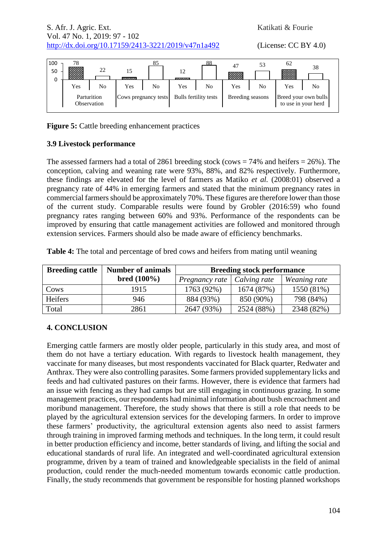S. Afr. J. Agric. Ext. Katikati & Fourie Vol. 47 No. 1, 2019: 97 - 102 [http://dx.doi.org/10.17159/2413-3221/2019/v47n1a492](https://urldefense.proofpoint.com/v2/url?u=http-3A__dx.doi.org_10.17159_2413-2D3221_2019_v47n1a485&d=DwMFAg&c=vTCSeBKl9YZZHWJzz-zQUQ&r=2O1irMqrdumXAIE9PdSLREhTXj5iyPGEywcz8I6zQwI&m=niwmmhX1mCI8GpeJjK8D7j-v09hQgXHBu3LsS3Opojw&s=98o8gy8B6ly02TS5WoJvLScIQPXENi4ceK3R3c9Iu9c&e=) (License: CC BY 4.0)

| 100<br>50<br>0 | 78<br><b>1999.99</b><br><b>BEE</b> | 22                         | <b>Report Follows</b> | 85 | 12<br><b>PERSONAL</b> | 88 | 47<br>33 | 53               | 62  | 38                                          |  |
|----------------|------------------------------------|----------------------------|-----------------------|----|-----------------------|----|----------|------------------|-----|---------------------------------------------|--|
|                | Yes                                | No                         | Yes                   | No | Yes                   | No | Yes      | No               | Yes | No                                          |  |
|                |                                    | Parturition<br>Observation | Cows pregnancy tests  |    | Bulls fertility tests |    |          | Breeding seasons |     | Breed your own bulls<br>to use in your herd |  |

**Figure 5:** Cattle breeding enhancement practices

# **3.9 Livestock performance**

The assessed farmers had a total of 2861 breeding stock (cows  $= 74\%$  and heifers  $= 26\%$ ). The conception, calving and weaning rate were 93%, 88%, and 82% respectively. Furthermore, these findings are elevated for the level of farmers as Matiko *et al.* (2008:01) observed a pregnancy rate of 44% in emerging farmers and stated that the minimum pregnancy rates in commercial farmers should be approximately 70%. These figures are therefore lower than those of the current study. Comparable results were found by Grobler (2016:59) who found pregnancy rates ranging between 60% and 93%. Performance of the respondents can be improved by ensuring that cattle management activities are followed and monitored through extension services. Farmers should also be made aware of efficiency benchmarks.

| <b>Breeding cattle</b> | <b>Number of animals</b> | <b>Breeding stock performance</b> |              |              |  |  |
|------------------------|--------------------------|-----------------------------------|--------------|--------------|--|--|
|                        | $bred(100\%)$            | Pregnancy rate                    | Calving rate | Weaning rate |  |  |
| Cows                   | 1915                     | 1763 (92%)                        | 1674 (87%)   | 1550 (81%)   |  |  |
| Heifers                | 946                      | 884 (93%)                         | 850 (90%)    | 798 (84%)    |  |  |
| Total                  | 2861                     | 2647 (93%)                        | 2524 (88%)   | 2348 (82%)   |  |  |

**Table 4:** The total and percentage of bred cows and heifers from mating until weaning

### **4. CONCLUSION**

Emerging cattle farmers are mostly older people, particularly in this study area, and most of them do not have a tertiary education. With regards to livestock health management, they vaccinate for many diseases, but most respondents vaccinated for Black quarter, Redwater and Anthrax. They were also controlling parasites. Some farmers provided supplementary licks and feeds and had cultivated pastures on their farms. However, there is evidence that farmers had an issue with fencing as they had camps but are still engaging in continuous grazing. In some management practices, our respondents had minimal information about bush encroachment and moribund management. Therefore, the study shows that there is still a role that needs to be played by the agricultural extension services for the developing farmers. In order to improve these farmers' productivity, the agricultural extension agents also need to assist farmers through training in improved farming methods and techniques. In the long term, it could result in better production efficiency and income, better standards of living, and lifting the social and educational standards of rural life. An integrated and well-coordinated agricultural extension programme, driven by a team of trained and knowledgeable specialists in the field of animal production, could render the much-needed momentum towards economic cattle production. Finally, the study recommends that government be responsible for hosting planned workshops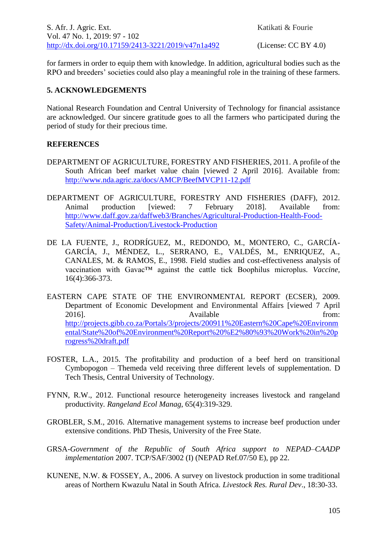for farmers in order to equip them with knowledge. In addition, agricultural bodies such as the RPO and breeders' societies could also play a meaningful role in the training of these farmers.

### **5. ACKNOWLEDGEMENTS**

National Research Foundation and Central University of Technology for financial assistance are acknowledged. Our sincere gratitude goes to all the farmers who participated during the period of study for their precious time.

### **REFERENCES**

- DEPARTMENT OF AGRICULTURE, FORESTRY AND FISHERIES, 2011. A profile of the South African beef market value chain [viewed 2 April 2016]. Available from: <http://www.nda.agric.za/docs/AMCP/BeefMVCP11-12.pdf>
- DEPARTMENT OF AGRICULTURE, FORESTRY AND FISHERIES (DAFF), 2012. Animal production [viewed: 7 February 2018]. Available from: [http://www.daff.gov.za/daffweb3/Branches/Agricultural-Production-Health-Food-](http://www.daff.gov.za/daffweb3/Branches/Agricultural-Production-Health-Food-Safety/Animal-Production/Livestock-Production)[Safety/Animal-Production/Livestock-Production](http://www.daff.gov.za/daffweb3/Branches/Agricultural-Production-Health-Food-Safety/Animal-Production/Livestock-Production)
- DE LA FUENTE, J., RODRÍGUEZ, M., REDONDO, M., MONTERO, C., GARCÍA-GARCÍA, J., MÉNDEZ, L., SERRANO, E., VALDÉS, M., ENRIQUEZ, A., CANALES, M. & RAMOS, E., 1998. Field studies and cost-effectiveness analysis of vaccination with Gavac™ against the cattle tick Boophilus microplus*. Vaccine,* 16(4):366-373.
- EASTERN CAPE STATE OF THE ENVIRONMENTAL REPORT (ECSER), 2009. Department of Economic Development and Environmental Affairs [viewed 7 April 2016]. The contract of the Available contract of the from: [http://projects.gibb.co.za/Portals/3/projects/200911%20Eastern%20Cape%20Environm](http://projects.gibb.co.za/Portals/3/projects/200911%20Eastern%20Cape%20Environmental/State%20of%20Environment%20Report%20%E2%80%93%20Work%20in%20progress%20draft.pdf) [ental/State%20of%20Environment%20Report%20%E2%80%93%20Work%20in%20p](http://projects.gibb.co.za/Portals/3/projects/200911%20Eastern%20Cape%20Environmental/State%20of%20Environment%20Report%20%E2%80%93%20Work%20in%20progress%20draft.pdf) [rogress%20draft.pdf](http://projects.gibb.co.za/Portals/3/projects/200911%20Eastern%20Cape%20Environmental/State%20of%20Environment%20Report%20%E2%80%93%20Work%20in%20progress%20draft.pdf)
- FOSTER, L.A., 2015. The profitability and production of a beef herd on transitional Cymbopogon – Themeda veld receiving three different levels of supplementation*.* D Tech Thesis, Central University of Technology.
- FYNN, R.W., 2012. Functional resource heterogeneity increases livestock and rangeland productivity*. Rangeland Ecol Manag*, 65(4):319-329.
- GROBLER, S.M., 2016. Alternative management systems to increase beef production under extensive conditions. PhD Thesis, University of the Free State.
- GRSA-*Government of the Republic of South Africa support to NEPAD–CAADP implementation* 2007. TCP/SAF/3002 (I) (NEPAD Ref.07/50 E), pp 22.
- KUNENE, N.W. & FOSSEY, A., 2006. A survey on livestock production in some traditional areas of Northern Kwazulu Natal in South Africa. *Livestock Res. Rural Dev*., 18:30-33.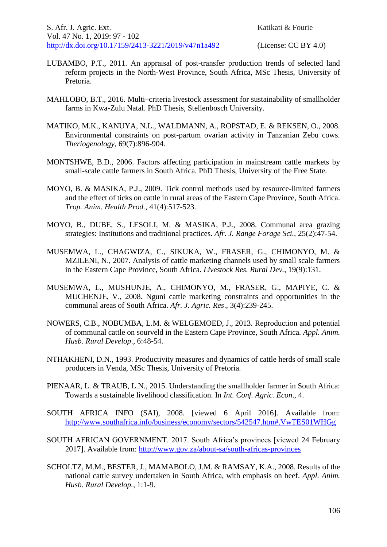- LUBAMBO, P.T., 2011. An appraisal of post-transfer production trends of selected land reform projects in the North-West Province, South Africa, MSc Thesis, University of Pretoria.
- MAHLOBO, B.T., 2016*.* Multi–criteria livestock assessment for sustainability of smallholder farms in Kwa-Zulu Natal. PhD Thesis, Stellenbosch University.
- MATIKO, M.K., KANUYA, N.L., WALDMANN, A., ROPSTAD, E. & REKSEN, O., 2008. Environmental constraints on post-partum ovarian activity in Tanzanian Zebu cows. *Theriogenology,* 69(7):896-904.
- MONTSHWE, B.D., 2006. Factors affecting participation in mainstream cattle markets by small-scale cattle farmers in South Africa. PhD Thesis, University of the Free State.
- MOYO, B. & MASIKA, P.J., 2009. Tick control methods used by resource-limited farmers and the effect of ticks on cattle in rural areas of the Eastern Cape Province, South Africa. *Trop. Anim. Health Prod.,* 41(4):517-523.
- MOYO, B., DUBE, S., LESOLI, M. & MASIKA, P.J., 2008. Communal area grazing strategies: Institutions and traditional practices. *Afr. J. Range Forage Sci.,* 25(2):47-54.
- MUSEMWA, L., CHAGWIZA, C., SIKUKA, W., FRASER, G., CHIMONYO, M. & MZILENI, N., 2007. Analysis of cattle marketing channels used by small scale farmers in the Eastern Cape Province, South Africa. *Livestock Res. Rural Dev.*, 19(9):131.
- MUSEMWA, L., MUSHUNJE, A., CHIMONYO, M., FRASER, G., MAPIYE, C. & MUCHENJE, V., 2008. Nguni cattle marketing constraints and opportunities in the communal areas of South Africa. *Afr. J. Agric. Res*., 3(4):239-245.
- NOWERS, C.B., NOBUMBA, L.M. & WELGEMOED, J., 2013. Reproduction and potential of communal cattle on sourveld in the Eastern Cape Province, South Africa*. Appl. Anim. Husb. Rural Develop*., 6:48-54.
- NTHAKHENI, D.N., 1993. Productivity measures and dynamics of cattle herds of small scale producers in Venda, MSc Thesis, University of Pretoria.
- PIENAAR, L. & TRAUB, L.N., 2015. Understanding the smallholder farmer in South Africa: Towards a sustainable livelihood classification. In *Int. Conf. Agric. Econ*., 4.
- SOUTH AFRICA INFO (SAI), 2008. [viewed 6 April 2016]. Available from: <http://www.southafrica.info/business/economy/sectors/542547.htm#.VwTES01WHGg>
- SOUTH AFRICAN GOVERNMENT. 2017. South Africa's provinces [viewed 24 February 2017]. Available from:<http://www.gov.za/about-sa/south-africas-provinces>
- SCHOLTZ, M.M., BESTER, J., MAMABOLO, J.M. & RAMSAY, K.A., 2008. Results of the national cattle survey undertaken in South Africa, with emphasis on beef. *Appl. Anim. Husb. Rural Develop.*, 1:1-9.